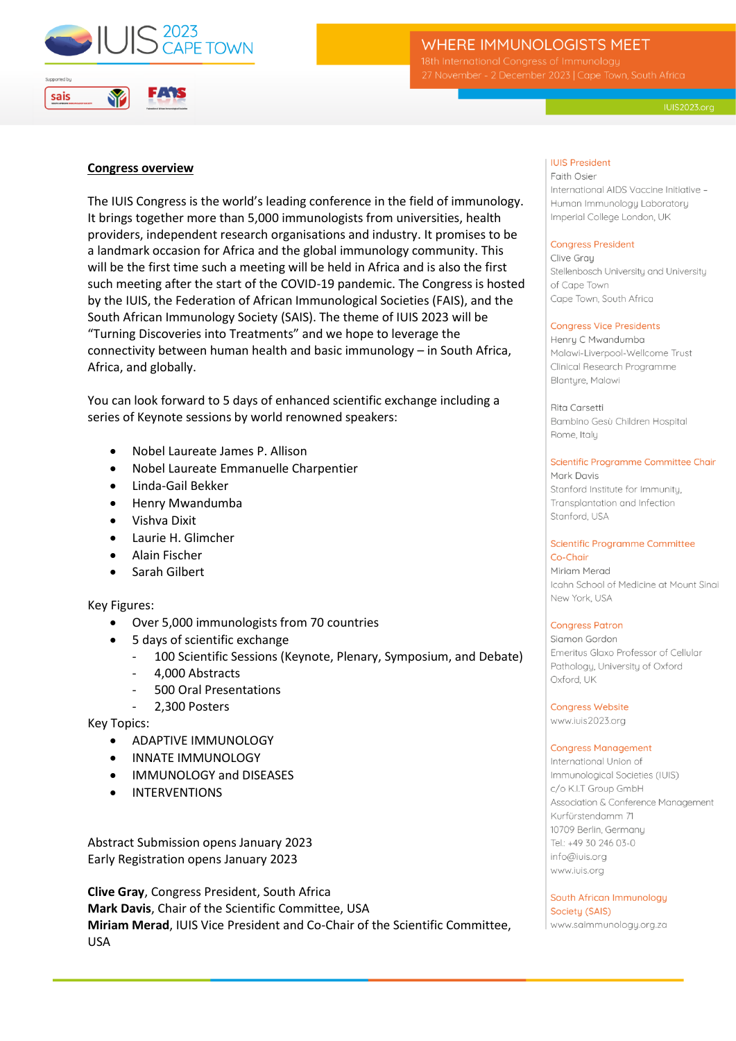

# **WHERE IMMUNOLOGISTS MEET**

### **Congress overview**

The IUIS Congress is the world's leading conference in the field of immunology. It brings together more than 5,000 immunologists from universities, health providers, independent research organisations and industry. It promises to be a landmark occasion for Africa and the global immunology community. This will be the first time such a meeting will be held in Africa and is also the first such meeting after the start of the COVID-19 pandemic. The Congress is hosted by the IUIS, the Federation of African Immunological Societies (FAIS), and the South African Immunology Society (SAIS). The theme of IUIS 2023 will be "Turning Discoveries into Treatments" and we hope to leverage the connectivity between human health and basic immunology – in South Africa, Africa, and globally.

You can look forward to 5 days of enhanced scientific exchange including a series of Keynote sessions by world renowned speakers:

- Nobel Laureate James P. Allison
- Nobel Laureate Emmanuelle Charpentier
- Linda-Gail Bekker
- Henry Mwandumba
- Vishva Dixit
- Laurie H. Glimcher
- Alain Fischer
- Sarah Gilbert

Key Figures:

- Over 5,000 immunologists from 70 countries
- 5 days of scientific exchange
	- 100 Scientific Sessions (Keynote, Plenary, Symposium, and Debate)
	- 4,000 Abstracts
	- 500 Oral Presentations
	- 2,300 Posters

Key Topics:

- ADAPTIVE IMMUNOLOGY
- INNATE IMMUNOLOGY
- IMMUNOLOGY and DISEASES
- INTERVENTIONS

Abstract Submission opens January 2023 Early Registration opens January 2023

**Clive Gray**, Congress President, South Africa **Mark Davis**, Chair of the Scientific Committee, USA **Miriam Merad**, IUIS Vice President and Co-Chair of the Scientific Committee, USA

### **IUIS President**

Faith Osier International AIDS Vaccine Initiative -Human Immunology Laboratory Imperial College London, UK

#### **Congress President**

Clive Grau Stellenbosch University and University of Cape Town Cape Town, South Africa

#### **Congress Vice Presidents**

Henry C Mwandumba Malawi-Liverpool-Wellcome Trust Clinical Research Programme Blantyre, Malawi

Rita Carsetti Bambino Gesù Children Hospital Rome, Italu

# Scientific Programme Committee Chair

Mark Davis Stanford Institute for Immunity, Transplantation and Infection Stanford, USA

#### **Scientific Programme Committee**  $Co-Chair$

Miriam Merad Icahn School of Medicine at Mount Singi New York, USA

### **Congress Patron**

Siamon Gordon Emeritus Glaxo Professor of Cellular Pathology, University of Oxford Oxford, UK

**Congress Website** 

www.iuis2023.org

### **Congress Management**

International Union of Immunological Societies (IUIS) c/o K.I.T Group GmbH Association & Conference Management Kurfürstendamm 71 10709 Berlin, Germany Tel.: +49 30 246 03-0 info@iuis.org www.iuis.org

South African Immunology Society (SAIS) www.saimmunology.org.za